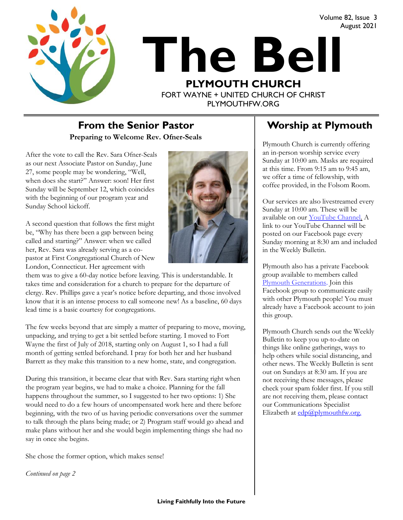



# **The Bell PLYMOUTH CHURCH** FORT WAYNE + UNITED CHURCH OF CHRIST PLYMOUTHFW.ORG

### **Preparing to Welcome Rev. Ofner-Seals From the Senior Pastor Fig. 8. Worship at Plymouth**

After the vote to call the Rev. Sara Ofner-Seals as our next Associate Pastor on Sunday, June 27, some people may be wondering, "Well, when does she start?" Answer: soon! Her first Sunday will be September 12, which coincides with the beginning of our program year and Sunday School kickoff.

A second question that follows the first might be, "Why has there been a gap between being called and starting?" Answer: when we called her, Rev. Sara was already serving as a copastor at First Congregational Church of New London, Connecticut. Her agreement with



them was to give a 60-day notice before leaving. This is understandable. It takes time and consideration for a church to prepare for the departure of clergy. Rev. Phillips gave a year's notice before departing, and those involved know that it is an intense process to call someone new! As a baseline, 60 days lead time is a basic courtesy for congregations.

The few weeks beyond that are simply a matter of preparing to move, moving, unpacking, and trying to get a bit settled before starting. I moved to Fort Wayne the first of July of 2018, starting only on August 1, so I had a full month of getting settled beforehand. I pray for both her and her husband Barrett as they make this transition to a new home, state, and congregation.

During this transition, it became clear that with Rev. Sara starting right when the program year begins, we had to make a choice. Planning for the fall happens throughout the summer, so I suggested to her two options: 1) She would need to do a few hours of uncompensated work here and there before beginning, with the two of us having periodic conversations over the summer to talk through the plans being made; or 2) Program staff would go ahead and make plans without her and she would begin implementing things she had no say in once she begins.

She chose the former option, which makes sense!

*Continued on page 2*

August 2021

Plymouth Church is currently offering an in-person worship service every Sunday at 10:00 am. Masks are required at this time. From 9:15 am to 9:45 am, we offer a time of fellowship, with coffee provided, in the Folsom Room.

Our services are also livestreamed every Sunday at 10:00 am. These will be available on our [YouTube Channel.](https://www.youtube.com/plymouthchurchfw) A link to our YouTube Channel will be posted on our Facebook page every Sunday morning at 8:30 am and included in the Weekly Bulletin.

Plymouth also has a private Facebook group available to members called [Plymouth Generations.](https://www.facebook.com/groups/1487066224952817/) Join this Facebook group to communicate easily with other Plymouth people! You must already have a Facebook account to join this group.

Plymouth Church sends out the Weekly Bulletin to keep you up-to-date on things like online gatherings, ways to help others while social distancing, and other news. The Weekly Bulletin is sent out on Sundays at 8:30 am. If you are not receiving these messages, please check your spam folder first. If you still are not receiving them, please contact our Communications Specialist Elizabeth at  $edp(\theta)$ <sub>p</sub>lymouthfw.org.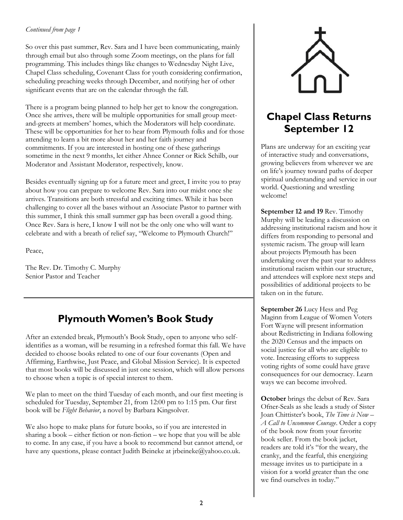### *Continued from page 1*

So over this past summer, Rev. Sara and I have been communicating, mainly through email but also through some Zoom meetings, on the plans for fall programming. This includes things like changes to Wednesday Night Live, Chapel Class scheduling, Covenant Class for youth considering confirmation, scheduling preaching weeks through December, and notifying her of other significant events that are on the calendar through the fall.

There is a program being planned to help her get to know the congregation. Once she arrives, there will be multiple opportunities for small group meetand-greets at members' homes, which the Moderators will help coordinate. These will be opportunities for her to hear from Plymouth folks and for those attending to learn a bit more about her and her faith journey and commitments. If you are interested in hosting one of these gatherings sometime in the next 9 months, let either Ahnee Conner or Rick Schilb, our Moderator and Assistant Moderator, respectively, know.

Besides eventually signing up for a future meet and greet, I invite you to pray about how you can prepare to welcome Rev. Sara into our midst once she arrives. Transitions are both stressful and exciting times. While it has been challenging to cover all the bases without an Associate Pastor to partner with this summer, I think this small summer gap has been overall a good thing. Once Rev. Sara is here, I know I will not be the only one who will want to celebrate and with a breath of relief say, "Welcome to Plymouth Church!"

Peace,

The Rev. Dr. Timothy C. Murphy Senior Pastor and Teacher

# **Plymouth Women's Book Study**

After an extended break, Plymouth's Book Study, open to anyone who selfidentifies as a woman, will be resuming in a refreshed format this fall. We have decided to choose books related to one of our four covenants (Open and Affirming, Earthwise, Just Peace, and Global Mission Service). It is expected that most books will be discussed in just one session, which will allow persons to choose when a topic is of special interest to them.

We plan to meet on the third Tuesday of each month, and our first meeting is scheduled for Tuesday, September 21, from 12:00 pm to 1:15 pm. Our first book will be *Flight Behavior*, a novel by Barbara Kingsolver.

We also hope to make plans for future books, so if you are interested in sharing a book – either fiction or non-fiction – we hope that you will be able to come. In any case, if you have a book to recommend but cannot attend, or have any questions, please contact Judith Beineke at jrbeineke@yahoo.co.uk.



# **Chapel Class Returns September 12**

Plans are underway for an exciting year of interactive study and conversations, growing believers from wherever we are on life's journey toward paths of deeper spiritual understanding and service in our world. Questioning and wrestling welcome!

**September 12 and 19** Rev. Timothy Murphy will be leading a discussion on addressing institutional racism and how it differs from responding to personal and systemic racism. The group will learn about projects Plymouth has been undertaking over the past year to address institutional racism within our structure, and attendees will explore next steps and possibilities of additional projects to be taken on in the future.

**September 26** Lucy Hess and Peg Maginn from League of Women Voters Fort Wayne will present information about Redistricting in Indiana following the 2020 Census and the impacts on social justice for all who are eligible to vote. Increasing efforts to suppress voting rights of some could have grave consequences for our democracy. Learn ways we can become involved.

**October** brings the debut of Rev. Sara Ofner-Seals as she leads a study of Sister Joan Chittister's book, *The Time is Now – A Call to Uncommon Courage*. Order a copy of the book now from your favorite book seller. From the book jacket, readers are told it's "for the weary, the cranky, and the fearful, this energizing message invites us to participate in a vision for a world greater than the one we find ourselves in today."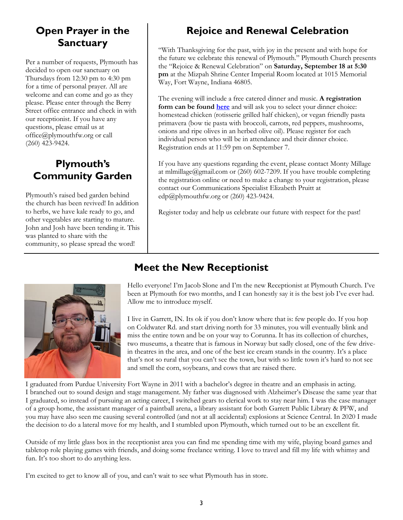# **Open Prayer in the Sanctuary**

Per a number of requests, Plymouth has decided to open our sanctuary on Thursdays from 12:30 pm to 4:30 pm for a time of personal prayer. All are welcome and can come and go as they please. Please enter through the Berry Street office entrance and check in with our receptionist. If you have any questions, please email us at office@plymouthfw.org or call (260) 423-9424.

# **Plymouth's Community Garden**

Plymouth's raised bed garden behind the church has been revived! In addition to herbs, we have kale ready to go, and other vegetables are starting to mature. John and Josh have been tending it. This was planted to share with the community, so please spread the word!

# **Rejoice and Renewal Celebration**

"With Thanksgiving for the past, with joy in the present and with hope for the future we celebrate this renewal of Plymouth." Plymouth Church presents the "Rejoice & Renewal Celebration" on **Saturday, September 18 at 5:30 pm** at the Mizpah Shrine Center Imperial Room located at 1015 Memorial Way, Fort Wayne, Indiana 46805.

The evening will include a free catered dinner and music. **A registration form can be found [here](https://plymouthchurch.shelbynextchms.com/external/form/ce4a3b2c-954a-40ac-94ef-6fdf9892435b)** and will ask you to select your dinner choice: homestead chicken (rotisserie grilled half chicken), or vegan friendly pasta primavera (bow tie pasta with broccoli, carrots, red peppers, mushrooms, onions and ripe olives in an herbed olive oil). Please register for each individual person who will be in attendance and their dinner choice. Registration ends at 11:59 pm on September 7.

If you have any questions regarding the event, please contact Monty Millage at mlmillage@gmail.com or (260) 602-7209. If you have trouble completing the registration online or need to make a change to your registration, please contact our Communications Specialist Elizabeth Pruitt at edp@plymouthfw.org or (260) 423-9424.

Register today and help us celebrate our future with respect for the past!



# **Meet the New Receptionist**

Hello everyone! I'm Jacob Slone and I'm the new Receptionist at Plymouth Church. I've been at Plymouth for two months, and I can honestly say it is the best job I've ever had. Allow me to introduce myself.

I live in Garrett, IN. Its ok if you don't know where that is: few people do. If you hop on Coldwater Rd. and start driving north for 33 minutes, you will eventually blink and miss the entire town and be on your way to Corunna. It has its collection of churches, two museums, a theatre that is famous in Norway but sadly closed, one of the few drivein theatres in the area, and one of the best ice cream stands in the country. It's a place that's not so rural that you can't see the town, but with so little town it's hard to not see and smell the corn, soybeans, and cows that are raised there.

I graduated from Purdue University Fort Wayne in 2011 with a bachelor's degree in theatre and an emphasis in acting. I branched out to sound design and stage management. My father was diagnosed with Alzheimer's Disease the same year that I graduated, so instead of pursuing an acting career, I switched gears to clerical work to stay near him. I was the case manager of a group home, the assistant manager of a paintball arena, a library assistant for both Garrett Public Library & PFW, and you may have also seen me causing several controlled (and not at all accidental) explosions at Science Central. In 2020 I made the decision to do a lateral move for my health, and I stumbled upon Plymouth, which turned out to be an excellent fit.

Outside of my little glass box in the receptionist area you can find me spending time with my wife, playing board games and tabletop role playing games with friends, and doing some freelance writing. I love to travel and fill my life with whimsy and fun. It's too short to do anything less.

I'm excited to get to know all of you, and can't wait to see what Plymouth has in store.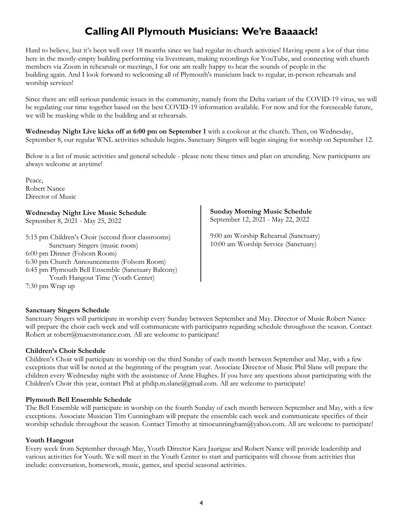# **Calling All Plymouth Musicians: We're Baaaack!**

Hard to believe, but it's been well over 18 months since we had regular in-church activities! Having spent a lot of that time here in the mostly-empty building performing via livestream, making recordings for YouTube, and connecting with church members via Zoom in rehearsals or meetings, I for one am really happy to hear the sounds of people in the building again. And I look forward to welcoming all of Plymouth's musicians back to regular, in-person rehearsals and worship services!

Since there are still serious pandemic issues in the community, namely from the Delta variant of the COVID-19 virus, we will be regulating our time together based on the best COVID-19 information available. For now and for the foreseeable future, we will be masking while in the building and at rehearsals.

**Wednesday Night Live kicks off at 6:00 pm on September 1** with a cookout at the church. Then, on Wednesday, September 8, our regular WNL activities schedule begins. Sanctuary Singers will begin singing for worship on September 12.

Below is a list of music activities and general schedule - please note these times and plan on attending. New participants are always welcome at anytime!

Peace, Robert Nance Director of Music

**Wednesday Night Live Music Schedule** September 8, 2021 - May 25, 2022

5:15 pm Children's Choir (second floor classrooms) Sanctuary Singers (music room) 6:00 pm Dinner (Folsom Room) 6:30 pm Church Announcements (Folsom Room) 6:45 pm Plymouth Bell Ensemble (Sanctuary Balcony) Youth Hangout Time (Youth Center) 7:30 pm Wrap up

**Sunday Morning Music Schedule** September 12, 2021 - May 22, 2022

9:00 am Worship Rehearsal (Sanctuary) 10:00 am Worship Service (Sanctuary)

### **Sanctuary Singers Schedule**

Sanctuary Singers will participate in worship every Sunday between September and May. Director of Music Robert Nance will prepare the choir each week and will communicate with participants regarding schedule throughout the season. Contact Robert at robert@maestronance.com. All are welcome to participate!

### **Children's Choir Schedule**

Children's Choir will participate in worship on the third Sunday of each month between September and May, with a few exceptions that will be noted at the beginning of the program year. Associate Director of Music Phil Slane will prepare the children every Wednesday night with the assistance of Anne Hughes. If you have any questions about participating with the Children's Choir this year, contact Phil at philip.m.slane@gmail.com. All are welcome to participate!

### **Plymouth Bell Ensemble Schedule**

The Bell Ensemble will participate in worship on the fourth Sunday of each month between September and May, with a few exceptions. Associate Musician Tim Cunningham will prepare the ensemble each week and communicate specifics of their worship schedule throughout the season. Contact Timothy at timocunningham@yahoo.com. All are welcome to participate!

### **Youth Hangout**

Every week from September through May, Youth Director Kara Jaurigue and Robert Nance will provide leadership and various activities for Youth. We will meet in the Youth Center to start and participants will choose from activities that include: conversation, homework, music, games, and special seasonal activities.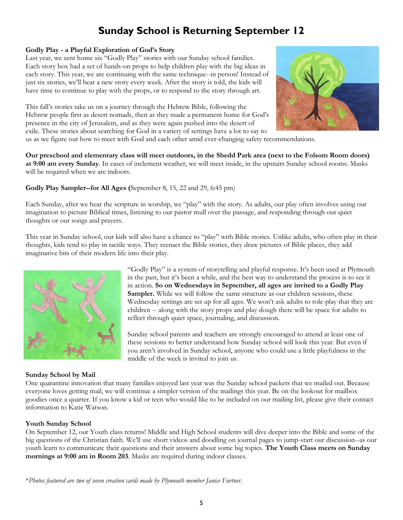# **Sunday School is Returning September 12**

### **Godly Play - a Playful Exploration of God's Story**

Last year, we sent home six "Godly Play" stories with our Sunday school families. Each story box had a set of hands-on props to help children play with the big ideas in each story. This year, we are continuing with the same technique--in person! Instead of just six stories, we'll hear a new story every week. After the story is told, the kids will have time to continue to play with the props, or to respond to the story through art.

This fall's stories take us on a journey through the Hebrew Bible, following the Hebrew people first as desert nomads, then as they made a permanent home for God's presence in the city of Jerusalem, and as they were again pushed into the desert of exile. These stories about searching for God in a variety of settings have a lot to say to



us as we figure out how to meet with God and each other amid ever-changing safety recommendations.

**Our preschool and elementary class will meet outdoors, in the Shedd Park area (next to the Folsom Room doors) at 9:00 am every Sunday**. In cases of inclement weather, we will meet inside, in the upstairs Sunday school rooms. Masks will be required when we are indoors.

### **Godly Play Sampler--for All Ages (**September 8, 15, 22 and 29, 6:45 pm)

Each Sunday, after we hear the scripture in worship, we "play" with the story. As adults, our play often involves using our imagination to picture Biblical times, listening to our pastor mull over the passage, and responding through our quiet thoughts or our songs and prayers.

This year in Sunday school, our kids will also have a chance to "play" with Bible stories. Unlike adults, who often play in their thoughts, kids tend to play in tactile ways. They reenact the Bible stories, they draw pictures of Bible places, they add imaginative bits of their modern life into their play.



### **Sunday School by Mail**

"Godly Play" is a system of storytelling and playful response. It's been used at Plymouth in the past, but it's been a while, and the best way to understand the process is to see it in action. **So on Wednesdays in September, all ages are invited to a Godly Play Sampler.** While we will follow the same structure as our children sessions, these Wednesday settings are set up for all ages. We won't ask adults to role-play that they are children -- along with the story props and play dough there will be space for adults to reflect through quiet space, journaling, and discussion.

Sunday school parents and teachers are strongly encouraged to attend at least one of these sessions to better understand how Sunday school will look this year. But even if you aren't involved in Sunday school, anyone who could use a little playfulness in the middle of the week is invited to join us.

One quarantine innovation that many families enjoyed last year was the Sunday school packets that we mailed out. Because everyone loves getting mail, we will continue a simpler version of the mailings this year. Be on the lookout for mailbox goodies once a quarter. If you know a kid or teen who would like to be included on our mailing list, please give their contact information to Katie Watson.

### **Youth Sunday School**

On September 12, our Youth class returns! Middle and High School students will dive deeper into the Bible and some of the big questions of the Christian faith. We'll use short videos and doodling on journal pages to jump-start our discussion--as our youth learn to communicate their questions and their answers about some big topics. **The Youth Class meets on Sunday mornings at 9:00 am in Room 203**. Masks are required during indoor classes.

\**Photos featured are two of seven creation cards made by Plymouth member Janice Furtner.*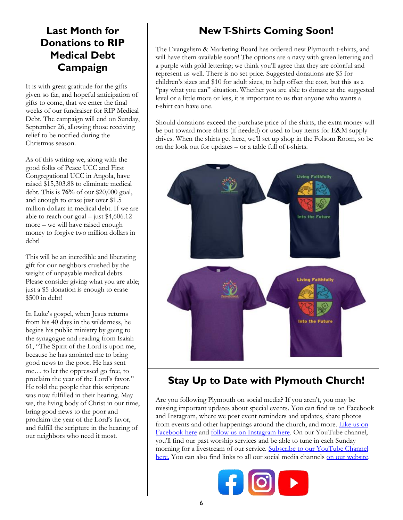# **Last Month for Donations to RIP Medical Debt Campaign**

It is with great gratitude for the gifts given so far, and hopeful anticipation of gifts to come, that we enter the final weeks of our fundraiser for RIP Medical Debt. The campaign will end on Sunday, September 26, allowing those receiving relief to be notified during the Christmas season.

As of this writing we, along with the good folks of Peace UCC and First Congregational UCC in Angola, have raised \$15,303.88 to eliminate medical debt. This is **76%** of our \$20,000 goal, and enough to erase just over \$1.5 million dollars in medical debt. If we are able to reach our goal – just  $$4,606.12$ more – we will have raised enough money to forgive two million dollars in debt!

This will be an incredible and liberating gift for our neighbors crushed by the weight of unpayable medical debts. Please consider giving what you are able; just a \$5 donation is enough to erase \$500 in debt!

In Luke's gospel, when Jesus returns from his 40 days in the wilderness, he begins his public ministry by going to the synagogue and reading from Isaiah 61, "The Spirit of the Lord is upon me, because he has anointed me to bring good news to the poor. He has sent me… to let the oppressed go free, to proclaim the year of the Lord's favor." He told the people that this scripture was now fulfilled in their hearing. May we, the living body of Christ in our time, bring good news to the poor and proclaim the year of the Lord's favor, and fulfill the scripture in the hearing of our neighbors who need it most.

# **New T-Shirts Coming Soon!**

The Evangelism & Marketing Board has ordered new Plymouth t-shirts, and will have them available soon! The options are a navy with green lettering and a purple with gold lettering; we think you'll agree that they are colorful and represent us well. There is no set price. Suggested donations are \$5 for children's sizes and \$10 for adult sizes, to help offset the cost, but this as a "pay what you can" situation. Whether you are able to donate at the suggested level or a little more or less, it is important to us that anyone who wants a t-shirt can have one.

Should donations exceed the purchase price of the shirts, the extra money will be put toward more shirts (if needed) or used to buy items for E&M supply drives. When the shirts get here, we'll set up shop in the Folsom Room, so be on the look out for updates – or a table full of t-shirts.



# **Stay Up to Date with Plymouth Church!**

Are you following Plymouth on social media? If you aren't, you may be missing important updates about special events. You can find us on Facebook and Instagram, where we post event reminders and updates, share photos from events and other happenings around the church, and more. [Like us on](https://www.facebook.com/plymouthchurchfw)  [Facebook here](https://www.facebook.com/plymouthchurchfw) and [follow us on Instagram here.](https://www.instagram.com/plymouthchurchfortwayne/) On our YouTube channel, you'll find our past worship services and be able to tune in each Sunday morning for a livestream of our service. Subscribe to our YouTube Channel [here.](https://www.youtube.com/channel/UC9jMD1iWFiibqBYykkW6E2w) You can also find links to all our social media channels [on our website.](https://www.plymouthfw.org/)

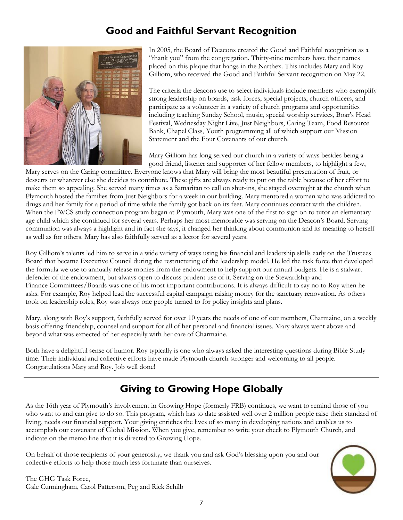# **Good and Faithful Servant Recognition**



In 2005, the Board of Deacons created the Good and Faithful recognition as a "thank you" from the congregation. Thirty-nine members have their names placed on this plaque that hangs in the Narthex. This includes Mary and Roy Gilliom, who received the Good and Faithful Servant recognition on May 22.

The criteria the deacons use to select individuals include members who exemplify strong leadership on boards, task forces, special projects, church officers, and participate as a volunteer in a variety of church programs and opportunities including teaching Sunday School, music, special worship services, Boar's Head Festival, Wednesday Night Live, Just Neighbors, Caring Team, Food Resource Bank, Chapel Class, Youth programming all of which support our Mission Statement and the Four Covenants of our church.

Mary Gilliom has long served our church in a variety of ways besides being a good friend, listener and supporter of her fellow members, to highlight a few,

Mary serves on the Caring committee. Everyone knows that Mary will bring the most beautiful presentation of fruit, or desserts or whatever else she decides to contribute. These gifts are always ready to put on the table because of her effort to make them so appealing. She served many times as a Samaritan to call on shut-ins, she stayed overnight at the church when Plymouth hosted the families from Just Neighbors for a week in our building. Mary mentored a woman who was addicted to drugs and her family for a period of time while the family got back on its feet. Mary continues contact with the children. When the FWCS study connection program began at Plymouth, Mary was one of the first to sign on to tutor an elementary age child which she continued for several years. Perhaps her most memorable was serving on the Deacon's Board. Serving communion was always a highlight and in fact she says, it changed her thinking about communion and its meaning to herself as well as for others. Mary has also faithfully served as a lector for several years.

Roy Gilliom's talents led him to serve in a wide variety of ways using his financial and leadership skills early on the Trustees Board that became Executive Council during the restructuring of the leadership model. He led the task force that developed the formula we use to annually release monies from the endowment to help support our annual budgets. He is a stalwart defender of the endowment, but always open to discuss prudent use of it. Serving on the Stewardship and Finance Committees/Boards was one of his most important contributions. It is always difficult to say no to Roy when he asks. For example, Roy helped lead the successful capital campaign raising money for the sanctuary renovation. As others took on leadership roles, Roy was always one people turned to for policy insights and plans.

Mary, along with Roy's support, faithfully served for over 10 years the needs of one of our members, Charmaine, on a weekly basis offering friendship, counsel and support for all of her personal and financial issues. Mary always went above and beyond what was expected of her especially with her care of Charmaine.

Both have a delightful sense of humor. Roy typically is one who always asked the interesting questions during Bible Study time. Their individual and collective efforts have made Plymouth church stronger and welcoming to all people. Congratulations Mary and Roy. Job well done!

# **Giving to Growing Hope Globally**

As the 16th year of Plymouth's involvement in Growing Hope (formerly FRB) continues, we want to remind those of you who want to and can give to do so. This program, which has to date assisted well over 2 million people raise their standard of living, needs our financial support. Your giving enriches the lives of so many in developing nations and enables us to accomplish our covenant of Global Mission. When you give, remember to write your check to Plymouth Church, and indicate on the memo line that it is directed to Growing Hope.

On behalf of those recipients of your generosity, we thank you and ask God's blessing upon you and our collective efforts to help those much less fortunate than ourselves.



The GHG Task Force, Gale Cunningham, Carol Patterson, Peg and Rick Schilb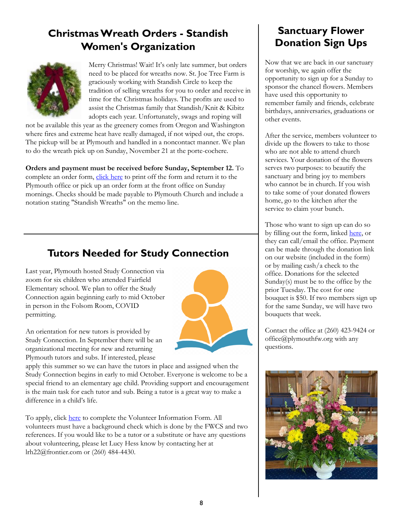# **Christmas Wreath Orders - Standish Women's Organization**



Merry Christmas! Wait! It's only late summer, but orders need to be placed for wreaths now. St. Joe Tree Farm is graciously working with Standish Circle to keep the tradition of selling wreaths for you to order and receive in time for the Christmas holidays. The profits are used to assist the Christmas family that Standish/Knit & Kibitz adopts each year. Unfortunately, swags and roping will

not be available this year as the greenery comes from Oregon and Washington where fires and extreme heat have really damaged, if not wiped out, the crops. The pickup will be at Plymouth and handled in a noncontact manner. We plan to do the wreath pick up on Sunday, November 21 at the porte-cochere.

**Orders and payment must be received before Sunday, September 12.** To complete an order form, [click here](file:///C:/Users/Elizabeth/OneDrive - Plymouth Congregational Church/Documents/Wreath Order Form 2021.docx) to print off the form and return it to the Plymouth office or pick up an order form at the front office on Sunday mornings. Checks should be made payable to Plymouth Church and include a notation stating "Standish Wreaths" on the memo line.

# **Tutors Needed for Study Connection**

Last year, Plymouth hosted Study Connection via zoom for six children who attended Fairfield Elementary school. We plan to offer the Study Connection again beginning early to mid October in person in the Folsom Room, COVID permitting.

An orientation for new tutors is provided by Study Connection. In September there will be an organizational meeting for new and returning Plymouth tutors and subs. If interested, please



apply this summer so we can have the tutors in place and assigned when the Study Connection begins in early to mid October. Everyone is welcome to be a special friend to an elementary age child. Providing support and encouragement is the main task for each tutor and sub. Being a tutor is a great way to make a difference in a child's life.

To apply, click [here](https://fortwayneschools.org/studyconnection?page=9) to complete the Volunteer Information Form. All volunteers must have a background check which is done by the FWCS and two references. If you would like to be a tutor or a substitute or have any questions about volunteering, please let Lucy Hess know by contacting her at lrh22@frontier.com or (260) 484-4430.

# **Sanctuary Flower Donation Sign Ups**

Now that we are back in our sanctuary for worship, we again offer the opportunity to sign up for a Sunday to sponsor the chancel flowers. Members have used this opportunity to remember family and friends, celebrate birthdays, anniversaries, graduations or other events.

After the service, members volunteer to divide up the flowers to take to those who are not able to attend church services. Your donation of the flowers serves two purposes: to beautify the sanctuary and bring joy to members who cannot be in church. If you wish to take some of your donated flowers home, go to the kitchen after the service to claim your bunch.

Those who want to sign up can do so by filling out the form, linked [here,](https://plymouthchurch.shelbynextchms.com/external/form/323eef6f-cd4c-4d53-a74e-04c76c57b13b) or they can call/email the office. Payment can be made through the donation link on our website (included in the form) or by mailing cash/a check to the office. Donations for the selected Sunday(s) must be to the office by the prior Tuesday. The cost for one bouquet is \$50. If two members sign up for the same Sunday, we will have two bouquets that week.

Contact the office at (260) 423-9424 or office@plymouthfw.org with any questions.

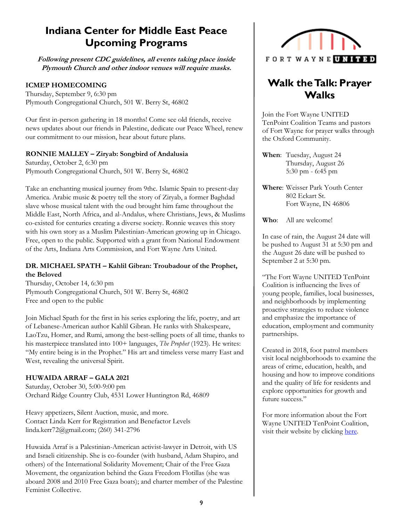# **Indiana Center for Middle East Peace Upcoming Programs**

**Following present CDC guidelines, all events taking place inside Plymouth Church and other indoor venues will require masks.**

### **ICMEP HOMECOMING**

Thursday, September 9, 6:30 pm Plymouth Congregational Church, 501 W. Berry St, 46802

Our first in-person gathering in 18 months! Come see old friends, receive news updates about our friends in Palestine, dedicate our Peace Wheel, renew our commitment to our mission, hear about future plans.

### **RONNIE MALLEY – Ziryab: Songbird of Andalusia**

Saturday, October 2, 6:30 pm Plymouth Congregational Church, 501 W. Berry St, 46802

Take an enchanting musical journey from 9thc. Islamic Spain to present-day America. Arabic music & poetry tell the story of Ziryab, a former Baghdad slave whose musical talent with the oud brought him fame throughout the Middle East, North Africa, and al-Andalus, where Christians, Jews, & Muslims co-existed for centuries creating a diverse society. Ronnie weaves this story with his own story as a Muslim Palestinian-American growing up in Chicago. Free, open to the public. Supported with a grant from National Endowment of the Arts, Indiana Arts Commission, and Fort Wayne Arts United.

### **DR. MICHAEL SPATH – Kahlil Gibran: Troubadour of the Prophet, the Beloved**

Thursday, October 14, 6:30 pm Plymouth Congregational Church, 501 W. Berry St, 46802 Free and open to the public

Join Michael Spath for the first in his series exploring the life, poetry, and art of Lebanese-American author Kahlil Gibran. He ranks with Shakespeare, LaoTzu, Homer, and Rumi, among the best-selling poets of all time, thanks to his masterpiece translated into 100+ languages, *The Prophet* (1923)*.* He writes: "My entire being is in the Prophet." His art and timeless verse marry East and West, revealing the universal Spirit.

### **HUWAIDA ARRAF – GALA 2021**

Saturday, October 30, 5:00-9:00 pm Orchard Ridge Country Club, 4531 Lower Huntington Rd, 46809

Heavy appetizers, Silent Auction, music, and more. Contact Linda Kerr for Registration and Benefactor Levels linda.kerr72@gmail.com; (260) 341-2796

Huwaida Arraf is a Palestinian-American activist-lawyer in Detroit, with US and Israeli citizenship. She is co-founder (with husband, Adam Shapiro, and others) of the International Solidarity Movement; Chair of the Free Gaza Movement, the organization behind the Gaza Freedom Flotillas (she was aboard 2008 and 2010 Free Gaza boats); and charter member of the Palestine Feminist Collective.



# **Walk the Talk: Prayer Walks**

Join the Fort Wayne UNITED TenPoint Coalition Teams and pastors of Fort Wayne for prayer walks through the Oxford Community.

**When**: Tuesday, August 24 Thursday, August 26 5:30 pm - 6:45 pm

**Where**: Weisser Park Youth Center 802 Eckart St. Fort Wayne, IN 46806

**Who**: All are welcome!

In case of rain, the August 24 date will be pushed to August 31 at 5:30 pm and the August 26 date will be pushed to September 2 at 5:30 pm.

"The Fort Wayne UNITED TenPoint Coalition is influencing the lives of young people, families, local businesses, and neighborhoods by implementing proactive strategies to reduce violence and emphasize the importance of education, employment and community partnerships.

Created in 2018, foot patrol members visit local neighborhoods to examine the areas of crime, education, health, and housing and how to improve conditions and the quality of life for residents and explore opportunities for growth and future success."

For more information about the Fort Wayne UNITED TenPoint Coalition, visit their website by clicking here.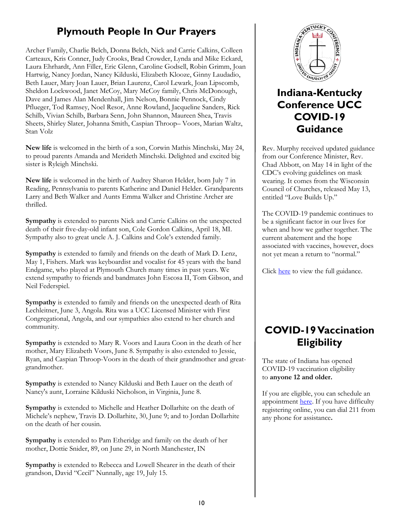# **Plymouth People In Our Prayers**

Archer Family, Charlie Belch, Donna Belch, Nick and Carrie Calkins, Colleen Carteaux, Kris Conner, Judy Crooks, Brad Crowder, Lynda and Mike Eckard, Laura Ehrhardt, Ann Filler, Eric Glenn, Caroline Godsell, Robin Grimm, Joan Hartwig, Nancy Jordan, Nancy Kilduski, Elizabeth Klooze, Ginny Laudadio, Beth Lauer, Mary Joan Lauer, Brian Laurenz, Carol Lewark, Joan Lipscomb, Sheldon Lockwood, Janet McCoy, Mary McCoy family, Chris McDonough, Dave and James Alan Mendenhall, Jim Nelson, Bonnie Pennock, Cindy Pflueger, Tod Ramsey, Noel Resor, Anne Rowland, Jacqueline Sanders, Rick Schilb, Vivian Schilb, Barbara Senn, John Shannon, Maureen Shea, Travis Sheets, Shirley Slater, Johanna Smith, Caspian Throop– Voors, Marian Waltz, Stan Volz

**New life** is welcomed in the birth of a son, Corwin Mathis Minchski, May 24, to proud parents Amanda and Merideth Minchski. Delighted and excited big sister is Ryleigh Minchski.

**New life** is welcomed in the birth of Audrey Sharon Helder, born July 7 in Reading, Pennsylvania to parents Katherine and Daniel Helder. Grandparents Larry and Beth Walker and Aunts Emma Walker and Christine Archer are thrilled.

**Sympathy** is extended to parents Nick and Carrie Calkins on the unexpected death of their five-day-old infant son, Cole Gordon Calkins, April 18, MI. Sympathy also to great uncle A. J. Calkins and Cole's extended family.

**Sympathy** is extended to family and friends on the death of Mark D. Lenz, May 1, Fishers. Mark was keyboardist and vocalist for 45 years with the band Endgame, who played at Plymouth Church many times in past years. We extend sympathy to friends and bandmates John Escosa II, Tom Gibson, and Neil Federspiel.

**Sympathy** is extended to family and friends on the unexpected death of Rita Lechleitner, June 3, Angola. Rita was a UCC Licensed Minister with First Congregational, Angola, and our sympathies also extend to her church and community.

**Sympathy** is extended to Mary R. Voors and Laura Coon in the death of her mother, Mary Elizabeth Voors, June 8. Sympathy is also extended to Jessie, Ryan, and Caspian Throop-Voors in the death of their grandmother and greatgrandmother.

**Sympathy** is extended to Nancy Kilduski and Beth Lauer on the death of Nancy's aunt, Lorraine Kilduski Nicholson, in Virginia, June 8.

**Sympathy** is extended to Michelle and Heather Dollarhite on the death of Michele's nephew, Travis D. Dollarhite, 30, June 9; and to Jordan Dollarhite on the death of her cousin.

**Sympathy** is extended to Pam Etheridge and family on the death of her mother, Dottie Snider, 89, on June 29, in North Manchester, IN

**Sympathy** is extended to Rebecca and Lowell Shearer in the death of their grandson, David "Cecil" Nunnally, age 19, July 15.



# **Indiana-Kentucky Conference UCC COVID-19 Guidance**

Rev. Murphy received updated guidance from our Conference Minister, Rev. Chad Abbott, on May 14 in light of the CDC's evolving guidelines on mask wearing. It comes from the Wisconsin Council of Churches, released May 13, entitled "Love Builds Up."

The COVID-19 pandemic continues to be a significant factor in our lives for when and how we gather together. The current abatement and the hope associated with vaccines, however, does not yet mean a return to "normal."

Click [here](Rev.%20Murphy%20received%20updated%20guidance%20from%20our%20Conference%20Minister,%20Rev.%20Chad%20Abbott,%20on%20May%2014%20in%20light%20of%20the%20CDC’s%20evolving%20guidelines%20on%20mask%20wearing.%20It%20comes%20from%20the%20Wisconsin%20Council%20of%20C) to view the full guidance.

# **COVID-19 Vaccination Eligibility**

The state of Indiana has opened COVID-19 vaccination eligibility to **anyone 12 and older.**

If you are eligible, you can schedule an appointment [here.](https://vaccine.coronavirus.in.gov/) If you have difficulty registering online, you can dial 211 from any phone for assistance**.**